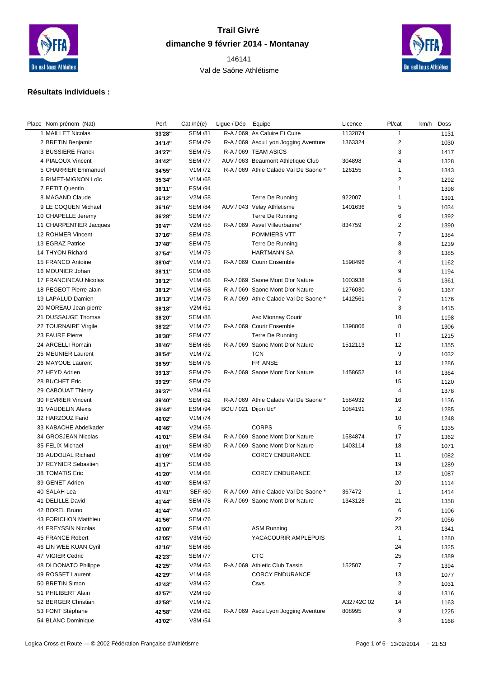

## **Trail Givré dimanche 9 février 2014 - Montanay**

 Val de Saône Athlétisme



## **Résultats individuels :**

| Place Nom prénom (Nat)                 | Perf.            | Cat /né(e)                       | Ligue / Dép         | Equipe                                                                    | Licence    | Pl/cat             | km/h Doss    |
|----------------------------------------|------------------|----------------------------------|---------------------|---------------------------------------------------------------------------|------------|--------------------|--------------|
| 1 MAILLET Nicolas                      | 33'28"           | <b>SEM /81</b>                   |                     | R-A / 069 As Caluire Et Cuire                                             | 1132874    | $\mathbf{1}$       | 1131         |
| 2 BRETIN Benjamin                      | 34'14"           | <b>SEM /79</b>                   |                     | R-A / 069 Ascu Lyon Jogging Aventure                                      | 1363324    | $\overline{2}$     | 1030         |
| 3 BUSSIERE Franck                      | 34'27"           | <b>SEM /75</b>                   |                     | R-A / 069 TEAM ASICS                                                      |            | 3                  | 1417         |
| 4 PIALOUX Vincent                      | 34'42"           | <b>SEM /77</b>                   |                     | AUV / 063 Beaumont Athletique Club                                        | 304898     | 4                  | 1328         |
| 5 CHARRIER Emmanuel                    | 34'55"           | V1M/72                           |                     | R-A / 069 Athle Calade Val De Saone *                                     | 126155     | $\mathbf{1}$       | 1343         |
| 6 RIMET-MIGNON Loïc                    | 35'34"           | V1M/68                           |                     |                                                                           |            | 2                  | 1292         |
| 7 PETIT Quentin                        | 36'11"           | <b>ESM /94</b>                   |                     |                                                                           |            | $\mathbf{1}$       | 1398         |
| 8 MAGAND Claude                        | 36'12"           | V2M /58                          |                     | Terre De Running                                                          | 922007     | $\mathbf{1}$       | 1391         |
| 9 LE COQUEN Michael                    | 36'16"           | <b>SEM /84</b>                   |                     | AUV / 043 Velay Athletisme                                                | 1401636    | 5                  | 1034         |
| 10 CHAPELLE Jeremy                     | 36'28"           | <b>SEM /77</b>                   |                     | Terre De Running                                                          |            | 6                  | 1392         |
| 11 CHARPENTIER Jacques                 | 36'47"           | V2M /55                          |                     | R-A / 069 Asvel Villeurbanne*                                             | 834759     | 2                  | 1390         |
| 12 ROHMER Vincent                      | 37'16"           | <b>SEM /78</b>                   |                     | POMMIERS VTT                                                              |            | $\overline{7}$     | 1384         |
| 13 EGRAZ Patrice                       | 37'48"           | <b>SEM /75</b>                   |                     | Terre De Running                                                          |            | 8                  | 1239         |
| 14 THYON Richard                       | 37'54"           | V1M /73                          |                     | <b>HARTMANN SA</b>                                                        |            | 3                  | 1385         |
| 15 FRANCO Antoine                      | 38'04"           | V1M/73                           |                     | R-A / 069 Courir Ensemble                                                 | 1598496    | 4                  | 1162         |
| 16 MOUNIER Johan                       | 38'11"           | <b>SEM /86</b>                   |                     |                                                                           |            | 9                  | 1194         |
| 17 FRANCINEAU Nicolas                  | 38'12"           | V1M/68                           |                     | R-A / 069 Saone Mont D'or Nature                                          | 1003938    | 5                  | 1361         |
| 18 PEGEOT Pierre-alain                 | 38'12"           | V1M/68                           |                     | R-A / 069 Saone Mont D'or Nature                                          | 1276030    | 6                  | 1367         |
| 19 LAPALUD Damien                      | 38'13"           | V1M /73                          |                     | R-A / 069 Athle Calade Val De Saone *                                     | 1412561    | $\overline{7}$     | 1176         |
| 20 MOREAU Jean-pierre                  | 38'18"           | V2M /61                          |                     |                                                                           |            | 3                  | 1415         |
| 21 DUSSAUGE Thomas                     | 38'20"           | <b>SEM /88</b>                   |                     | Asc Mionnay Courir                                                        |            | 10                 | 1198         |
| 22 TOURNAIRE Virgile                   | 38'22"           | V1M /72                          |                     | R-A / 069 Courir Ensemble                                                 | 1398806    | 8                  | 1306         |
| 23 FAURE Pierre                        | 38'38"           | <b>SEM /77</b>                   |                     | Terre De Running                                                          |            | 11                 | 1215         |
| 24 ARCELLI Romain                      | 38'46"           | <b>SEM /86</b>                   |                     | R-A / 069 Saone Mont D'or Nature                                          | 1512113    | 12                 | 1355         |
| 25 MEUNIER Laurent                     | 38'54"           | V1M/72                           |                     | <b>TCN</b>                                                                |            | 9                  | 1032         |
| 26 MAYOUE Laurent                      | 38'59"           | <b>SEM /76</b>                   |                     | FR' ANSE                                                                  |            | 13                 | 1286         |
| 27 HEYD Adrien                         | 39'13"           | <b>SEM /79</b>                   |                     | R-A / 069 Saone Mont D'or Nature                                          | 1458652    | 14                 | 1364         |
| 28 BUCHET Eric                         | 39'29"           | <b>SEM /79</b>                   |                     |                                                                           |            | 15                 | 1120         |
| 29 CABOUAT Thierry                     | 39'37"           | V2M /64                          |                     |                                                                           |            | 4                  | 1378         |
| 30 FEVRIER Vincent                     |                  | <b>SEM /82</b>                   |                     | R-A / 069 Athle Calade Val De Saone *                                     | 1584932    | 16                 | 1136         |
| 31 VAUDELIN Alexis                     | 39'40"<br>39'44" | <b>ESM /94</b>                   | BOU / 021 Dijon Uc* |                                                                           | 1084191    | 2                  | 1285         |
| 32 HARZOUZ Farid                       | 40'02"           | V1M /74                          |                     |                                                                           |            | 10                 |              |
| 33 KABACHE Abdelkader                  |                  | V2M /55                          |                     | <b>CORPS</b>                                                              |            | 5                  | 1248         |
| 34 GROSJEAN Nicolas                    | 40'46"           | <b>SEM /84</b>                   |                     | R-A / 069 Saone Mont D'or Nature                                          | 1584874    | 17                 | 1335         |
|                                        | 41'01"           |                                  |                     |                                                                           |            |                    | 1362         |
| 35 FELIX Michael<br>36 AUDOUAL Richard | 41'01"           | <b>SEM /80</b><br>V1M/69         |                     | R-A / 069 Saone Mont D'or Nature<br><b>CORCY ENDURANCE</b>                | 1403114    | 18<br>11           | 1071<br>1082 |
| 37 REYNIER Sebastien                   | 41'09"           | <b>SEM /86</b>                   |                     |                                                                           |            | 19                 |              |
|                                        | 41'17"           | V1M/68                           |                     | <b>CORCY ENDURANCE</b>                                                    |            | 12                 | 1289         |
| 38 TOMATIS Eric<br>39 GENET Adrien     | 41'20"           | <b>SEM /87</b>                   |                     |                                                                           |            | 20                 | 1087         |
|                                        | 41'40''          | <b>SEF /80</b>                   |                     |                                                                           | 367472     |                    | 1114         |
| 40 SALAH Lea<br>41 DELILLE David       | 41'41"<br>41'44" | <b>SEM /78</b>                   |                     | R-A / 069 Athle Calade Val De Saone *<br>R-A / 069 Saone Mont D'or Nature | 1343128    | $\mathbf{1}$<br>21 | 1414<br>1358 |
| 42 BOREL Bruno                         |                  | V2M/62                           |                     |                                                                           |            | 6                  |              |
| 43 FORICHON Matthieu                   | 41'44"           |                                  |                     |                                                                           |            |                    | 1106         |
|                                        | 41'56"           | <b>SEM /76</b><br><b>SEM /81</b> |                     |                                                                           |            | 22                 | 1056         |
| 44 FREYSSIN Nicolas                    | 42'00"           |                                  |                     | <b>ASM Running</b>                                                        |            | 23                 | 1341         |
| 45 FRANCE Robert                       | 42'05"           | V3M /50                          |                     | YACACOURIR AMPLEPUIS                                                      |            | $\mathbf{1}$       | 1280         |
| 46 LIN WEE KUAN Cyril                  | 42'16"           | <b>SEM /86</b>                   |                     |                                                                           |            | 24                 | 1325         |
| 47 VIGIER Cedric                       | 42'23"           | <b>SEM /77</b>                   |                     | <b>CTC</b>                                                                |            | 25                 | 1389         |
| 48 DI DONATO Philippe                  | 42'25"           | V2M /63                          |                     | R-A / 069 Athletic Club Tassin                                            | 152507     | $\overline{7}$     | 1394         |
| 49 ROSSET Laurent                      | 42'29"           | V1M/68                           |                     | <b>CORCY ENDURANCE</b>                                                    |            | 13                 | 1077         |
| 50 BRETIN Simon                        | 42'43"           | V3M /52                          |                     | Csvs                                                                      |            | 2                  | 1031         |
| 51 PHILIBERT Alain                     | 42'57"           | V2M /59                          |                     |                                                                           |            | 8                  | 1316         |
| 52 BERGER Christian                    | 42'58"           | V1M /72                          |                     |                                                                           | A32742C 02 | 14                 | 1163         |
| 53 FONT Stéphane                       | 42'58"           | V2M/62                           |                     | R-A / 069 Ascu Lyon Jogging Aventure                                      | 808995     | 9                  | 1225         |
| 54 BLANC Dominique                     | 43'02"           | V3M /54                          |                     |                                                                           |            | 3                  | 1168         |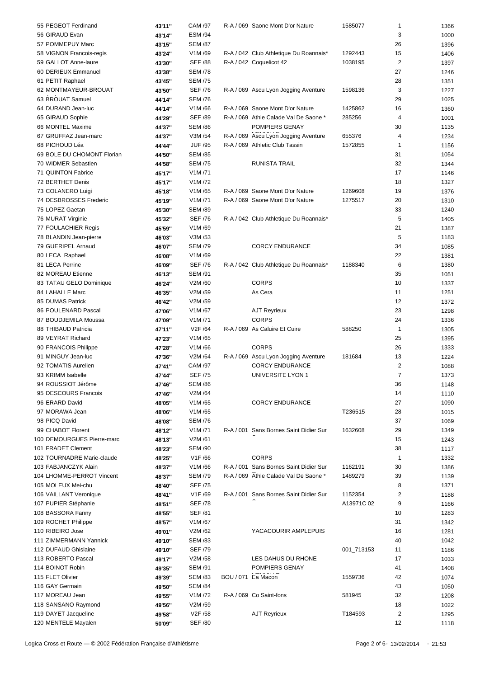| 55 PEGEOT Ferdinand        | 43'11"  | CAM /97              | R-A / 069 Saone Mont D'or Nature       | 1585077    | 1              | 1366 |
|----------------------------|---------|----------------------|----------------------------------------|------------|----------------|------|
| 56 GIRAUD Evan             | 43'14"  | <b>ESM /94</b>       |                                        |            | 3              | 1000 |
| 57 POMMEPUY Marc           | 43'15"  | <b>SEM /87</b>       |                                        |            | 26             | 1396 |
| 58 VIGNON Francois-regis   | 43'24"  | V1M/69               | R-A / 042 Club Athletique Du Roannais* | 1292443    | 15             | 1406 |
| 59 GALLOT Anne-laure       | 43'30"  | <b>SEF /88</b>       | R-A / 042 Coquelicot 42                | 1038195    | $\overline{2}$ | 1397 |
|                            |         |                      |                                        |            |                |      |
| 60 DERIEUX Emmanuel        | 43'38"  | <b>SEM /78</b>       |                                        |            | 27             | 1246 |
| 61 PETIT Raphael           | 43'45"  | <b>SEM /75</b>       |                                        |            | 28             | 1351 |
| 62 MONTMAYEUR-BROUAT       | 43'50"  | <b>SEF /76</b>       | R-A / 069 Ascu Lyon Jogging Aventure   | 1598136    | 3              | 1227 |
| 63 BROUAT Samuel           | 44'14"  | <b>SEM /76</b>       |                                        |            | 29             | 1025 |
| 64 DURAND Jean-luc         | 44'14"  | V1M/66               | R-A / 069 Saone Mont D'or Nature       | 1425862    | 16             | 1360 |
| 65 GIRAUD Sophie           | 44'29"  | <b>SEF /89</b>       | R-A / 069 Athle Calade Val De Saone *  | 285256     | 4              | 1001 |
| 66 MONTEL Maxime           | 44'37"  | <b>SEM /86</b>       | POMPIERS GENAY                         |            | 30             | 1135 |
| 67 GRUFFAZ Jean-marc       | 44'37"  | V3M /54              | R-A / 069 Ascu Lyon Jogging Aventure   | 655376     | 4              | 1234 |
| 68 PICHOUD Léa             | 44'44"  | <b>JUF /95</b>       | R-A / 069 Athletic Club Tassin         | 1572855    | -1             | 1156 |
| 69 BOLE DU CHOMONT Florian | 44'50'' | <b>SEM /85</b>       |                                        |            | 31             | 1054 |
| 70 WIDMER Sebastien        |         | <b>SEM /75</b>       | <b>RUNISTA TRAIL</b>                   |            | 32             |      |
|                            | 44'58"  |                      |                                        |            |                | 1344 |
| 71 QUINTON Fabrice         | 45'17"  | V1M/71               |                                        |            | 17             | 1146 |
| 72 BERTHET Denis           | 45'17"  | V1M/72               |                                        |            | 18             | 1327 |
| 73 COLANERO Luigi          | 45'18"  | V1M/65               | R-A / 069 Saone Mont D'or Nature       | 1269608    | 19             | 1376 |
| 74 DESBROSSES Frederic     | 45'19"  | V1M/71               | R-A / 069 Saone Mont D'or Nature       | 1275517    | 20             | 1310 |
| 75 LOPEZ Gaetan            | 45'30"  | <b>SEM /89</b>       |                                        |            | 33             | 1240 |
| 76 MURAT Virginie          | 45'32"  | <b>SEF /76</b>       | R-A / 042 Club Athletique Du Roannais* |            | 5              | 1405 |
| 77 FOULACHIER Regis        | 45'59"  | V1M/69               |                                        |            | 21             | 1387 |
| 78 BLANDIN Jean-pierre     | 46'03'' | V3M /53              |                                        |            | 5              | 1183 |
| 79 GUERIPEL Arnaud         | 46'07"  | <b>SEM /79</b>       | <b>CORCY ENDURANCE</b>                 |            | 34             |      |
|                            |         |                      |                                        |            |                | 1085 |
| 80 LECA Raphael            | 46'08"  | V1M/69               |                                        |            | 22             | 1381 |
| 81 LECA Perrine            | 46'09"  | <b>SEF /76</b>       | R-A / 042 Club Athletique Du Roannais* | 1188340    | 6              | 1380 |
| 82 MOREAU Etienne          | 46'13"  | <b>SEM /91</b>       |                                        |            | 35             | 1051 |
| 83 TATAU GELO Dominique    | 46'24"  | V2M /60              | <b>CORPS</b>                           |            | 10             | 1337 |
| 84 LAHALLE Marc            | 46'35"  | V2M /59              | As Cera                                |            | 11             | 1251 |
| 85 DUMAS Patrick           | 46'42"  | V2M /59              |                                        |            | 12             | 1372 |
| 86 POULENARD Pascal        | 47'06"  | V1M/67               | <b>AJT Reyrieux</b>                    |            | 23             | 1298 |
| 87 BOUDJEMILA Moussa       | 47'09'' | V1M/71               | <b>CORPS</b>                           |            | 24             | 1336 |
| 88 THIBAUD Patricia        | 47'11"  | V2F /64              | R-A / 069 As Caluire Et Cuire          | 588250     | $\mathbf{1}$   | 1305 |
| 89 VEYRAT Richard          |         | V1M/65               |                                        |            | 25             | 1395 |
|                            | 47'23"  |                      | <b>CORPS</b>                           |            |                |      |
| 90 FRANCOIS Philippe       | 47'28"  | V1M/66               |                                        |            | 26             | 1333 |
| 91 MINGUY Jean-luc         | 47'36"  | V2M /64              | R-A / 069 Ascu Lyon Jogging Aventure   | 181684     | 13             | 1224 |
| 92 TOMATIS Aurelien        | 47'41"  | CAM /97              | <b>CORCY ENDURANCE</b>                 |            | 2              | 1088 |
| 93 KRIMM Isabelle          | 47'44"  | <b>SEF /75</b>       | UNIVERSITE LYON 1                      |            | $\overline{7}$ | 1373 |
| 94 ROUSSIOT Jérôme         | 47'46"  | <b>SEM /86</b>       |                                        |            | 36             | 1148 |
| 95 DESCOURS Francois       | 47'46"  | V2M /64              |                                        |            | 14             | 1110 |
| 96 ERARD David             | 48'05"  | V1M/65               | <b>CORCY ENDURANCE</b>                 |            | 27             | 1090 |
| 97 MORAWA Jean             | 48'06"  | V1M/65               |                                        | T236515    | 28             | 1015 |
| 98 PICQ David              | 48'08'' | <b>SEM /76</b>       |                                        |            | 37             | 1069 |
| 99 CHABOT Florent          | 48'12"  | V1M/71               | R-A / 001 Sans Bornes Saint Didier Sur | 1632608    | 29             | 1349 |
| 100 DEMOURGUES Pierre-marc |         |                      |                                        |            |                |      |
|                            | 48'13"  | V2M /61              |                                        |            | 15             | 1243 |
| 101 FRADET Clement         | 48'23"  | <b>SEM /90</b>       |                                        |            | 38             | 1117 |
| 102 TOURNADRE Marie-claude | 48'25"  | V1F/66               | <b>CORPS</b>                           |            | -1             | 1332 |
| 103 FABJANCZYK Alain       | 48'37"  | V1M/66               | R-A / 001 Sans Bornes Saint Didier Sur | 1162191    | 30             | 1386 |
| 104 LHOMME-PERROT Vincent  | 48'37"  | <b>SEM /79</b>       | R-A / 069 Athle Calade Val De Saone *  | 1489279    | 39             | 1139 |
| 105 MOLEUX Mei-chu         | 48'40"  | <b>SEF /75</b>       |                                        |            | 8              | 1371 |
| 106 VAILLANT Veronique     | 48'41"  | V <sub>1</sub> F /69 | R-A / 001 Sans Bornes Saint Didier Sur | 1152354    | 2              | 1188 |
| 107 PUPIER Stéphanie       | 48'51'' | <b>SEF /78</b>       |                                        | A13971C 02 | 9              | 1166 |
| 108 BASSORA Fanny          | 48'55'' | <b>SEF /81</b>       |                                        |            | 10             | 1283 |
| 109 ROCHET Philippe        |         | V1M/67               |                                        |            | 31             |      |
|                            | 48'57'' |                      |                                        |            |                | 1342 |
| 110 RIBEIRO Jose           | 49'01"  | V2M /62              | YACACOURIR AMPLEPUIS                   |            | 16             | 1281 |
| 111 ZIMMERMANN Yannick     | 49'10'' | <b>SEM /83</b>       |                                        |            | 40             | 1042 |
| 112 DUFAUD Ghislaine       | 49'10'' | <b>SEF /79</b>       |                                        | 001_713153 | 11             | 1186 |
| 113 ROBERTO Pascal         | 49'17"  | V2M /58              | LES DAHUS DU RHONE                     |            | 17             | 1033 |
| 114 BOINOT Robin           | 49'35"  | <b>SEM /91</b>       | POMPIERS GENAY                         |            | 41             | 1408 |
| 115 FLET Olivier           | 49'39"  | <b>SEM /83</b>       | BOU / 071 Ea Macon                     | 1559736    | 42             | 1074 |
| 116 GAY Germain            | 49'50'' | <b>SEM /84</b>       |                                        |            | 43             | 1050 |
| 117 MOREAU Jean            | 49'55"  | V1M /72              | R-A / 069 Co Saint-fons                | 581945     | 32             | 1208 |
| 118 SANSANO Raymond        |         | V2M /59              |                                        |            | 18             |      |
|                            | 49'56"  |                      |                                        |            |                | 1022 |
| 119 DAYET Jacqueline       | 49'58"  | V2F /58              | <b>AJT Reyrieux</b>                    | T184593    | 2              | 1295 |
| 120 MENTELE Mayalen        | 50'09"  | <b>SEF /80</b>       |                                        |            | 12             | 1118 |
|                            |         |                      |                                        |            |                |      |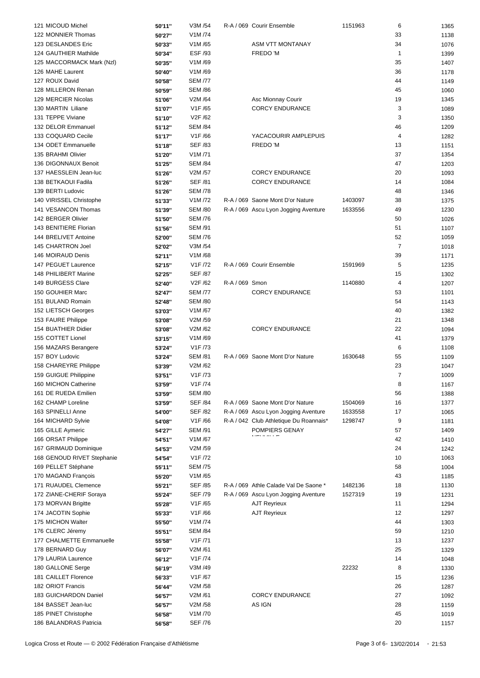| 121 MICOUD Michel          | 50'11" | V3M /54              |                | R-A / 069 Courir Ensemble              | 1151963 | 6              | 1365 |
|----------------------------|--------|----------------------|----------------|----------------------------------------|---------|----------------|------|
| 122 MONNIER Thomas         | 50'27" | V1M /74              |                |                                        |         | 33             | 1138 |
| 123 DESLANDES Eric         | 50'33" | V1M/65               |                | ASM VTT MONTANAY                       |         | 34             | 1076 |
| 124 GAUTHIER Mathilde      |        | <b>ESF /93</b>       |                | FREDO 'M                               |         | $\mathbf{1}$   | 1399 |
|                            | 50'34" |                      |                |                                        |         |                |      |
| 125 MACCORMACK Mark (NzI)  | 50'35" | V1M/69               |                |                                        |         | 35             | 1407 |
| 126 MAHE Laurent           | 50'40" | V1M/69               |                |                                        |         | 36             | 1178 |
| 127 ROUX David             | 50'58" | <b>SEM /77</b>       |                |                                        |         | 44             | 1149 |
| 128 MILLERON Renan         | 50'59" | <b>SEM /86</b>       |                |                                        |         | 45             | 1060 |
| 129 MERCIER Nicolas        | 51'06" | V2M /64              |                | Asc Mionnay Courir                     |         | 19             | 1345 |
| 130 MARTIN Liliane         | 51'07" | V1F /65              |                | <b>CORCY ENDURANCE</b>                 |         | 3              | 1089 |
| 131 TEPPE Viviane          | 51'10" | V2F /62              |                |                                        |         | 3              | 1350 |
| 132 DELOR Emmanuel         | 51'12" | <b>SEM /84</b>       |                |                                        |         | 46             | 1209 |
| 133 COQUARD Cecile         | 51'17" | V1F/66               |                | YACACOURIR AMPLEPUIS                   |         | 4              | 1282 |
| 134 ODET Emmanuelle        |        | <b>SEF /83</b>       |                | FREDO 'M                               |         | 13             | 1151 |
|                            | 51'18" |                      |                |                                        |         |                |      |
| 135 BRAHMI Olivier         | 51'20" | V1M/71               |                |                                        |         | 37             | 1354 |
| 136 DIGONNAUX Benoit       | 51'25" | <b>SEM /84</b>       |                |                                        |         | 47             | 1203 |
| 137 HAESSLEIN Jean-luc     | 51'26" | V2M /57              |                | <b>CORCY ENDURANCE</b>                 |         | 20             | 1093 |
| 138 BETKAOUI Fadila        | 51'26" | <b>SEF /81</b>       |                | <b>CORCY ENDURANCE</b>                 |         | 14             | 1084 |
| 139 BERTI Ludovic          | 51'26" | <b>SEM /78</b>       |                |                                        |         | 48             | 1346 |
| 140 VIRISSEL Christophe    | 51'33" | V1M /72              |                | R-A / 069 Saone Mont D'or Nature       | 1403097 | 38             | 1375 |
| 141 VESANCON Thomas        | 51'39" | <b>SEM /80</b>       |                | R-A / 069 Ascu Lyon Jogging Aventure   | 1633556 | 49             | 1230 |
| 142 BERGER Olivier         | 51'50" | <b>SEM /76</b>       |                |                                        |         | 50             | 1026 |
| 143 BENITIERE Florian      | 51'56" | <b>SEM /91</b>       |                |                                        |         | 51             | 1107 |
| 144 BRELIVET Antoine       | 52'00" | <b>SEM /76</b>       |                |                                        |         | 52             | 1059 |
|                            |        |                      |                |                                        |         | $\overline{7}$ |      |
| 145 CHARTRON Joel          | 52'02" | V3M /54              |                |                                        |         |                | 1018 |
| 146 MOIRAUD Denis          | 52'11" | V1M/68               |                |                                        |         | 39             | 1171 |
| 147 PEGUET Laurence        | 52'15" | V1F /72              |                | R-A / 069 Courir Ensemble              | 1591969 | 5              | 1235 |
| 148 PHILIBERT Marine       | 52'25" | <b>SEF /87</b>       |                |                                        |         | 15             | 1302 |
| 149 BURGESS Clare          | 52'40" | V2F /62              | R-A / 069 Smon |                                        | 1140880 | 4              | 1207 |
| 150 GOUHIER Marc           | 52'47" | <b>SEM /77</b>       |                | <b>CORCY ENDURANCE</b>                 |         | 53             | 1101 |
| 151 BULAND Romain          | 52'48" | <b>SEM /80</b>       |                |                                        |         | 54             | 1143 |
| 152 LIETSCH Georges        | 53'03" | V1M/67               |                |                                        |         | 40             | 1382 |
| 153 FAURE Philippe         | 53'08" | V2M /59              |                |                                        |         | 21             | 1348 |
| 154 BUATHIER Didier        | 53'08" | V2M /62              |                | <b>CORCY ENDURANCE</b>                 |         | 22             | 1094 |
|                            |        |                      |                |                                        |         |                |      |
| 155 COTTET Lionel          | 53'15" | V1M/69               |                |                                        |         | 41             | 1379 |
| 156 MAZARS Berangere       | 53'24" | V1F /73              |                |                                        |         | 6              | 1108 |
| 157 BOY Ludovic            | 53'24" | <b>SEM /81</b>       |                | R-A / 069 Saone Mont D'or Nature       | 1630648 | 55             | 1109 |
| 158 CHAREYRE Philippe      | 53'39" | V2M /62              |                |                                        |         | 23             | 1047 |
| 159 GUIGUE Philippine      | 53'51" | V1F /73              |                |                                        |         | $\overline{7}$ | 1009 |
| 160 MICHON Catherine       | 53'59" | V1F /74              |                |                                        |         | 8              | 1167 |
| 161 DE RUEDA Emilien       | 53'59" | <b>SEM /80</b>       |                |                                        |         | 56             | 1388 |
| 162 CHAMP Loreline         | 53'59" | <b>SEF /84</b>       |                | R-A / 069 Saone Mont D'or Nature       | 1504069 | 16             | 1377 |
| 163 SPINELLI Anne          | 54'00" | <b>SEF /82</b>       |                | R-A / 069 Ascu Lyon Jogging Aventure   | 1633558 | 17             | 1065 |
| 164 MICHARD Sylvie         | 54'08" | V1F/66               |                | R-A / 042 Club Athletique Du Roannais* | 1298747 | 9              | 1181 |
| 165 GILLE Aymeric          | 54'27" | <b>SEM /91</b>       |                | POMPIERS GENAY                         |         | 57             | 1409 |
|                            |        |                      |                |                                        |         |                |      |
| 166 ORSAT Philippe         | 54'51" | V1M/67               |                |                                        |         | 42             | 1410 |
| 167 GRIMAUD Dominique      | 54'53" | V2M /59              |                |                                        |         | 24             | 1242 |
| 168 GENOUD RIVET Stephanie | 54'54" | V1F /72              |                |                                        |         | 10             | 1063 |
| 169 PELLET Stéphane        | 55'11" | <b>SEM /75</b>       |                |                                        |         | 58             | 1004 |
| 170 MAGAND Francois        | 55'20" | V1M /65              |                |                                        |         | 43             | 1185 |
| 171 RUAUDEL Clemence       | 55'21" | <b>SEF /85</b>       |                | R-A / 069 Athle Calade Val De Saone *  | 1482136 | 18             | 1130 |
| 172 ZIANE-CHERIF Soraya    | 55'24" | <b>SEF /79</b>       |                | R-A / 069 Ascu Lyon Jogging Aventure   | 1527319 | 19             | 1231 |
| 173 MORVAN Brigitte        | 55'28" | V1F /65              |                | <b>AJT Reyrieux</b>                    |         | 11             | 1294 |
| 174 JACOTIN Sophie         | 55'33" | V1F/66               |                | <b>AJT Reyrieux</b>                    |         | 12             | 1297 |
| 175 MICHON Walter          | 55'50" | V1M /74              |                |                                        |         | 44             | 1303 |
| 176 CLERC Jéremy           |        | <b>SEM /84</b>       |                |                                        |         | 59             |      |
|                            | 55'51" |                      |                |                                        |         |                | 1210 |
| 177 CHALMETTE Emmanuelle   | 55'58" | V <sub>1</sub> F /71 |                |                                        |         | 13             | 1237 |
| 178 BERNARD Guy            | 56'07" | V2M /61              |                |                                        |         | 25             | 1329 |
| 179 LAURIA Laurence        | 56'12" | V1F /74              |                |                                        |         | 14             | 1048 |
| 180 GALLONE Serge          | 56'19" | V3M /49              |                |                                        | 22232   | 8              | 1330 |
| 181 CAILLET Florence       | 56'33" | V1F /67              |                |                                        |         | 15             | 1236 |
| 182 ORIOT Francis          | 56'44" | V2M /58              |                |                                        |         | 26             | 1287 |
| 183 GUICHARDON Daniel      | 56'57" | V2M /61              |                | <b>CORCY ENDURANCE</b>                 |         | 27             | 1092 |
| 184 BASSET Jean-luc        | 56'57" | V2M /58              |                | AS IGN                                 |         | 28             | 1159 |
| 185 PINET Christophe       |        | V1M /70              |                |                                        |         | 45             |      |
|                            | 56'58" |                      |                |                                        |         |                | 1019 |
| 186 BALANDRAS Patricia     | 56'58" | <b>SEF /76</b>       |                |                                        |         | 20             | 1157 |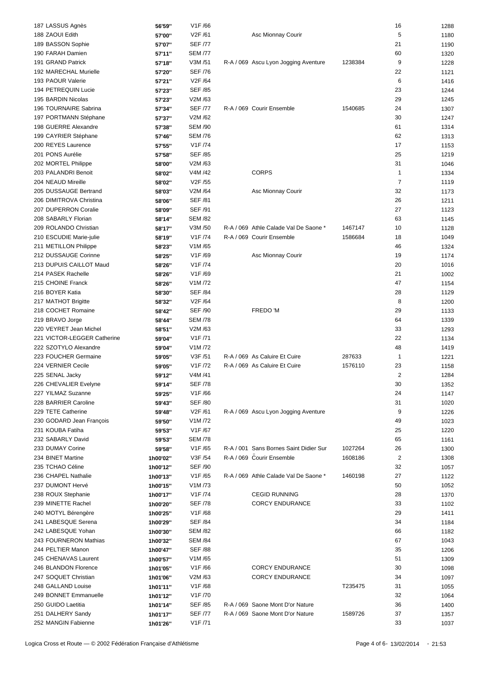| 187 LASSUS Agnès            | 56'59"   | V1F/66               |                                        |         | 16             | 1288 |
|-----------------------------|----------|----------------------|----------------------------------------|---------|----------------|------|
| 188 ZAOUI Edith             | 57'00"   | V2F /61              | Asc Mionnay Courir                     |         | 5              | 1180 |
| 189 BASSON Sophie           | 57'07"   | <b>SEF /77</b>       |                                        |         | 21             | 1190 |
| 190 FARAH Damien            |          | <b>SEM /77</b>       |                                        |         | 60             |      |
|                             | 57'11"   |                      |                                        |         |                | 1320 |
| 191 GRAND Patrick           | 57'18"   | V3M /51              | R-A / 069 Ascu Lyon Jogging Aventure   | 1238384 | 9              | 1228 |
| 192 MARECHAL Murielle       | 57'20"   | <b>SEF /76</b>       |                                        |         | 22             | 1121 |
| 193 PAOUR Valerie           | 57'21"   | V2F /64              |                                        |         | 6              | 1416 |
| 194 PETREQUIN Lucie         | 57'23"   | <b>SEF /85</b>       |                                        |         | 23             | 1244 |
| 195 BARDIN Nicolas          | 57'23"   | V2M /63              |                                        |         | 29             | 1245 |
| 196 TOURNAIRE Sabrina       | 57'34"   | <b>SEF /77</b>       | R-A / 069 Courir Ensemble              | 1540685 | 24             | 1307 |
| 197 PORTMANN Stéphane       | 57'37"   | V2M/62               |                                        |         | 30             | 1247 |
| 198 GUERRE Alexandre        | 57'38"   | <b>SEM /90</b>       |                                        |         | 61             | 1314 |
|                             |          | <b>SEM /76</b>       |                                        |         |                |      |
| 199 CAYRIER Stéphane        | 57'46"   |                      |                                        |         | 62             | 1313 |
| 200 REYES Laurence          | 57'55"   | V1F /74              |                                        |         | 17             | 1153 |
| 201 PONS Aurélie            | 57'58"   | <b>SEF /85</b>       |                                        |         | 25             | 1219 |
| 202 MORTEL Philippe         | 58'00"   | V2M /63              |                                        |         | 31             | 1046 |
| 203 PALANDRI Benoit         | 58'02"   | V4M /42              | <b>CORPS</b>                           |         | 1              | 1334 |
| 204 NEAUD Mireille          | 58'02"   | V2F /55              |                                        |         | $\overline{7}$ | 1119 |
| 205 DUSSAUGE Bertrand       | 58'03"   | V2M /64              | Asc Mionnay Courir                     |         | 32             | 1173 |
| 206 DIMITROVA Christina     | 58'06"   | <b>SEF /81</b>       |                                        |         | 26             | 1211 |
| 207 DUPERRON Coralie        | 58'09"   | <b>SEF /91</b>       |                                        |         | 27             | 1123 |
| 208 SABARLY Florian         |          | <b>SEM /82</b>       |                                        |         | 63             |      |
|                             | 58'14"   |                      |                                        |         |                | 1145 |
| 209 ROLANDO Christian       | 58'17"   | V3M /50              | R-A / 069 Athle Calade Val De Saone *  | 1467147 | 10             | 1128 |
| 210 ESCUDIE Marie-julie     | 58'19"   | V1F /74              | R-A / 069 Courir Ensemble              | 1586684 | 18             | 1049 |
| 211 METILLON Philippe       | 58'23"   | V1M/65               |                                        |         | 46             | 1324 |
| 212 DUSSAUGE Corinne        | 58'25"   | V1F/69               | Asc Mionnay Courir                     |         | 19             | 1174 |
| 213 DUPUIS CAILLOT Maud     | 58'26"   | V <sub>1</sub> F /74 |                                        |         | 20             | 1016 |
| 214 PASEK Rachelle          | 58'26"   | V1F /69              |                                        |         | 21             | 1002 |
| 215 CHOINE Franck           | 58'26"   | V1M/72               |                                        |         | 47             | 1154 |
| 216 BOYER Katia             | 58'30"   | <b>SEF /84</b>       |                                        |         | 28             | 1129 |
| 217 MATHOT Brigitte         | 58'32"   | V2F /64              |                                        |         | 8              | 1200 |
| 218 COCHET Romaine          |          | <b>SEF /90</b>       | FREDO 'M                               |         |                |      |
|                             | 58'42"   |                      |                                        |         | 29             | 1133 |
| 219 BRAVO Jorge             | 58'44"   | <b>SEM /78</b>       |                                        |         | 64             | 1339 |
| 220 VEYRET Jean Michel      | 58'51"   | V2M /63              |                                        |         | 33             | 1293 |
| 221 VICTOR-LEGGER Catherine | 59'04"   | V <sub>1</sub> F /71 |                                        |         | 22             | 1134 |
| 222 SZOTYLO Alexandre       | 59'04"   | V1M /72              |                                        |         | 48             | 1419 |
| 223 FOUCHER Germaine        | 59'05"   | V3F /51              | R-A / 069 As Caluire Et Cuire          | 287633  | $\mathbf{1}$   | 1221 |
| 224 VERNIER Cecile          | 59'05"   | V1F /72              | R-A / 069 As Caluire Et Cuire          | 1576110 | 23             | 1158 |
| 225 SENAL Jacky             | 59'12"   | V4M /41              |                                        |         | $\overline{2}$ | 1284 |
| 226 CHEVALIER Evelyne       | 59'14"   | <b>SEF /78</b>       |                                        |         | $30\,$         | 1352 |
| 227 YILMAZ Suzanne          |          | V1F/66               |                                        |         | 24             |      |
|                             | 59'25"   |                      |                                        |         |                | 1147 |
| 228 BARRIER Caroline        | 59'43"   | <b>SEF /80</b>       |                                        |         | 31             | 1020 |
| 229 TETE Catherine          | 59'48"   | V2F /61              | R-A / 069 Ascu Lyon Jogging Aventure   |         | 9              | 1226 |
| 230 GODARD Jean François    | 59'50"   | V1M/72               |                                        |         | 49             | 1023 |
| 231 KOUBA Fatiha            | 59'53"   | V1F/67               |                                        |         | 25             | 1220 |
| 232 SABARLY David           | 59'53"   | <b>SEM /78</b>       |                                        |         | 65             | 1161 |
| 233 DUMAY Corine            | 59'58"   | V <sub>1</sub> F /65 | R-A / 001 Sans Bornes Saint Didier Sur | 1027264 | 26             | 1300 |
| 234 BINET Martine           | 1h00'02" | V3F /54              | R-A / 069 Courir Ensemble              | 1608186 | $\overline{c}$ | 1308 |
| 235 TCHAO Céline            | 1h00'12" | <b>SEF /90</b>       |                                        |         | 32             | 1057 |
| 236 CHAPEL Nathalie         |          | V1F/65               | R-A / 069 Athle Calade Val De Saone *  | 1460198 | 27             | 1122 |
|                             | 1h00'13" |                      |                                        |         |                |      |
| 237 DUMONT Hervé            | 1h00'15" | V1M /73              |                                        |         | 50             | 1052 |
| 238 ROUX Stephanie          | 1h00'17" | V1F /74              | <b>CEGID RUNNING</b>                   |         | 28             | 1370 |
| 239 MINETTE Rachel          | 1h00'20" | <b>SEF /78</b>       | <b>CORCY ENDURANCE</b>                 |         | 33             | 1102 |
| 240 MOTYL Bérengère         | 1h00'25" | V1F/68               |                                        |         | 29             | 1411 |
| 241 LABESQUE Serena         | 1h00'29" | <b>SEF /84</b>       |                                        |         | 34             | 1184 |
| 242 LABESQUE Yohan          | 1h00'30" | <b>SEM /82</b>       |                                        |         | 66             | 1182 |
| 243 FOURNERON Mathias       | 1h00'32" | <b>SEM /84</b>       |                                        |         | 67             | 1043 |
| 244 PELTIER Manon           | 1h00'47" | <b>SEF /88</b>       |                                        |         | 35             | 1206 |
| 245 CHENAVAS Laurent        |          | V1M/65               |                                        |         | 51             | 1309 |
|                             | 1h00'57" |                      |                                        |         |                |      |
| 246 BLANDON Florence        | 1h01'05" | V1F/66               | <b>CORCY ENDURANCE</b>                 |         | 30             | 1098 |
| 247 SOQUET Christian        | 1h01'06" | V2M /63              | <b>CORCY ENDURANCE</b>                 |         | 34             | 1097 |
| 248 GALLAND Louise          | 1h01'11" | V1F/68               |                                        | T235475 | 31             | 1055 |
| 249 BONNET Emmanuelle       | 1h01'12" | V1F /70              |                                        |         | 32             | 1064 |
| 250 GUIDO Laetitia          | 1h01'14" | <b>SEF /85</b>       | R-A / 069 Saone Mont D'or Nature       |         | 36             | 1400 |
| 251 DALHERY Sandy           | 1h01'17" | <b>SEF /77</b>       | R-A / 069 Saone Mont D'or Nature       | 1589726 | 37             | 1357 |
| 252 MANGIN Fabienne         | 1h01'26" | V1F /71              |                                        |         | 33             | 1037 |
|                             |          |                      |                                        |         |                |      |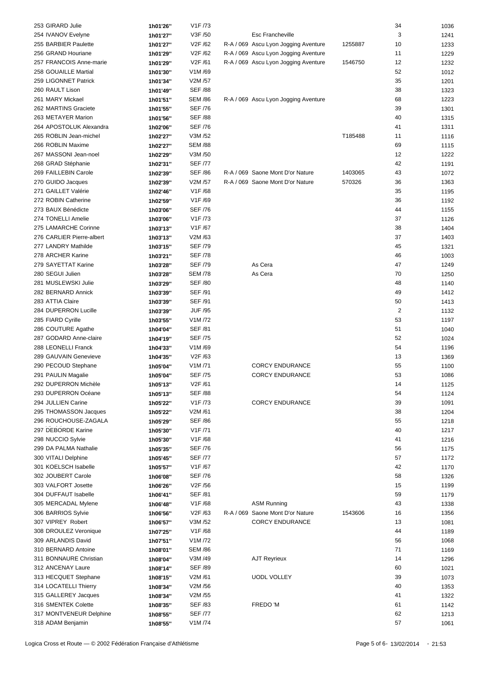| 253 GIRARD Julie          | 1h01'26" | V1F /73              |                                      |         | 34             | 1036 |
|---------------------------|----------|----------------------|--------------------------------------|---------|----------------|------|
| 254 IVANOV Evelyne        | 1h01'27" | V3F /50              | Esc Francheville                     |         | 3              | 1241 |
| 255 BARBIER Paulette      | 1h01'27" | V2F /62              | R-A / 069 Ascu Lyon Jogging Aventure | 1255887 | 10             | 1233 |
|                           |          |                      |                                      |         |                |      |
| 256 GRAND Houriane        | 1h01'29" | V2F /62              | R-A / 069 Ascu Lyon Jogging Aventure |         | 11             | 1229 |
| 257 FRANCOIS Anne-marie   | 1h01'29" | V2F /61              | R-A / 069 Ascu Lyon Jogging Aventure | 1546750 | 12             | 1232 |
| 258 GOUAILLE Martial      | 1h01'30" | V1M/69               |                                      |         | 52             | 1012 |
| 259 LIGONNET Patrick      | 1h01'34" | V2M /57              |                                      |         | 35             | 1201 |
| 260 RAULT Lison           | 1h01'49" | <b>SEF /88</b>       |                                      |         | 38             | 1323 |
| 261 MARY Mickael          | 1h01'51" | <b>SEM /86</b>       | R-A / 069 Ascu Lyon Jogging Aventure |         | 68             | 1223 |
| 262 MARTINS Graciete      | 1h01'55" | <b>SEF /76</b>       |                                      |         | 39             | 1301 |
| 263 METAYER Marion        | 1h01'56" | <b>SEF /88</b>       |                                      |         | 40             | 1315 |
| 264 APOSTOLUK Alexandra   | 1h02'06" | <b>SEF /76</b>       |                                      |         | 41             | 1311 |
|                           |          |                      |                                      |         |                |      |
| 265 ROBLIN Jean-michel    | 1h02'27" | V3M /52              |                                      | T185488 | 11             | 1116 |
| 266 ROBLIN Maxime         | 1h02'27" | <b>SEM /88</b>       |                                      |         | 69             | 1115 |
| 267 MASSONI Jean-noel     | 1h02'29" | V3M /50              |                                      |         | 12             | 1222 |
| 268 GRAD Stéphanie        | 1h02'31" | <b>SEF /77</b>       |                                      |         | 42             | 1191 |
| 269 FAILLEBIN Carole      | 1h02'39" | <b>SEF /86</b>       | R-A / 069 Saone Mont D'or Nature     | 1403065 | 43             | 1072 |
| 270 GUIDO Jacques         | 1h02'39" | V2M /57              | R-A / 069 Saone Mont D'or Nature     | 570326  | 36             | 1363 |
| 271 GAILLET Valérie       | 1h02'46" | V1F/68               |                                      |         | 35             | 1195 |
| 272 ROBIN Catherine       | 1h02'59" | V1F/69               |                                      |         | 36             | 1192 |
| 273 BAUX Bénédicte        | 1h03'06" | <b>SEF /76</b>       |                                      |         | 44             | 1155 |
| 274 TONELLI Amelie        | 1h03'06" | V <sub>1</sub> F /73 |                                      |         | 37             | 1126 |
|                           |          |                      |                                      |         |                |      |
| 275 LAMARCHE Corinne      | 1h03'13" | V1F /67              |                                      |         | 38             | 1404 |
| 276 CARLIER Pierre-albert | 1h03'13" | V2M/63               |                                      |         | 37             | 1403 |
| 277 LANDRY Mathilde       | 1h03'15" | <b>SEF /79</b>       |                                      |         | 45             | 1321 |
| 278 ARCHER Karine         | 1h03'21" | <b>SEF /78</b>       |                                      |         | 46             | 1003 |
| 279 SAYETTAT Karine       | 1h03'28" | <b>SEF /79</b>       | As Cera                              |         | 47             | 1249 |
| 280 SEGUI Julien          | 1h03'28" | <b>SEM /78</b>       | As Cera                              |         | 70             | 1250 |
| 281 MUSLEWSKI Julie       | 1h03'29" | <b>SEF /80</b>       |                                      |         | 48             | 1140 |
| 282 BERNARD Annick        | 1h03'39" | SEF /91              |                                      |         | 49             | 1412 |
| 283 ATTIA Claire          | 1h03'39" | SEF /91              |                                      |         | 50             | 1413 |
| 284 DUPERRON Lucille      |          | <b>JUF /95</b>       |                                      |         | $\overline{2}$ |      |
|                           | 1h03'39" |                      |                                      |         |                | 1132 |
| 285 FIARD Cyrille         | 1h03'55" | V1M /72              |                                      |         | 53             | 1197 |
| 286 COUTURE Agathe        | 1h04'04" | <b>SEF /81</b>       |                                      |         | 51             | 1040 |
| 287 GODARD Anne-claire    | 1h04'19" | <b>SEF /75</b>       |                                      |         | 52             | 1024 |
| 288 LEONELLI Franck       | 1h04'33" | V1M/69               |                                      |         | 54             | 1196 |
| 289 GAUVAIN Genevieve     | 1h04'35" | V <sub>2</sub> F /63 |                                      |         | 13             | 1369 |
| 290 PECOUD Stephane       | 1h05'04" | V1M/71               | <b>CORCY ENDURANCE</b>               |         | 55             | 1100 |
| 291 PAULIN Magalie        | 1h05'04" | <b>SEF /75</b>       | <b>CORCY ENDURANCE</b>               |         | 53             | 1086 |
| 292 DUPERRON Michèle      | 1h05'13" | V2F /61              |                                      |         | 14             | 1125 |
| 293 DUPERRON Océane       | 1h05'13" | <b>SEF /88</b>       |                                      |         | 54             | 1124 |
|                           |          |                      |                                      |         |                |      |
| 294 JULLIEN Carine        | 1h05'22" | V1F /73              | <b>CORCY ENDURANCE</b>               |         | 39             | 1091 |
| 295 THOMASSON Jacques     | 1h05'22" | V2M /61              |                                      |         | 38             | 1204 |
| 296 ROUCHOUSE-ZAGALA      | 1h05'29" | <b>SEF /86</b>       |                                      |         | 55             | 1218 |
| 297 DEBORDE Karine        | 1h05'30" | V1F /71              |                                      |         | 40             | 1217 |
| 298 NUCCIO Sylvie         | 1h05'30" | V1F/68               |                                      |         | 41             | 1216 |
| 299 DA PALMA Nathalie     | 1h05'35" | <b>SEF /76</b>       |                                      |         | 56             | 1175 |
| 300 VITALI Delphine       | 1h05'45" | <b>SEF /77</b>       |                                      |         | 57             | 1172 |
| 301 KOELSCH Isabelle      | 1h05'57" | V1F /67              |                                      |         | 42             | 1170 |
| 302 JOUBERT Carole        | 1h06'08" | <b>SEF /76</b>       |                                      |         | 58             | 1326 |
| 303 VALFORT Josette       |          | V2F /56              |                                      |         | 15             |      |
|                           | 1h06'26" |                      |                                      |         |                | 1199 |
| 304 DUFFAUT Isabelle      | 1h06'41" | <b>SEF /81</b>       |                                      |         | 59             | 1179 |
| 305 MERCADAL Mylene       | 1h06'48" | V1F/68               | <b>ASM Running</b>                   |         | 43             | 1338 |
| 306 BARRIOS Sylvie        | 1h06'56" | V2F /63              | R-A / 069 Saone Mont D'or Nature     | 1543606 | 16             | 1356 |
| 307 VIPREY Robert         | 1h06'57" | V3M /52              | <b>CORCY ENDURANCE</b>               |         | 13             | 1081 |
| 308 DROULEZ Veronique     | 1h07'25" | V1F/68               |                                      |         | 44             | 1189 |
| 309 ARLANDIS David        | 1h07'51" | V1M /72              |                                      |         | 56             | 1068 |
| 310 BERNARD Antoine       | 1h08'01" | <b>SEM /86</b>       |                                      |         | 71             | 1169 |
| 311 BONNAURE Christian    | 1h08'04" | V3M /49              | <b>AJT Reyrieux</b>                  |         | 14             | 1296 |
| 312 ANCENAY Laure         | 1h08'14" | <b>SEF /89</b>       |                                      |         | 60             | 1021 |
|                           |          |                      |                                      |         | 39             |      |
| 313 HECQUET Stephane      | 1h08'15" | V2M /61              | <b>UODL VOLLEY</b>                   |         |                | 1073 |
| 314 LOCATELLI Thierry     | 1h08'34" | V2M /56              |                                      |         | 40             | 1353 |
| 315 GALLEREY Jacques      | 1h08'34" | V2M /55              |                                      |         | 41             | 1322 |
| 316 SMENTEK Colette       | 1h08'35" | <b>SEF /83</b>       | FREDO 'M                             |         | 61             | 1142 |
| 317 MONTVENEUR Delphine   | 1h08'55" | <b>SEF /77</b>       |                                      |         | 62             | 1213 |
| 318 ADAM Benjamin         | 1h08'55" | V1M /74              |                                      |         | 57             | 1061 |
|                           |          |                      |                                      |         |                |      |